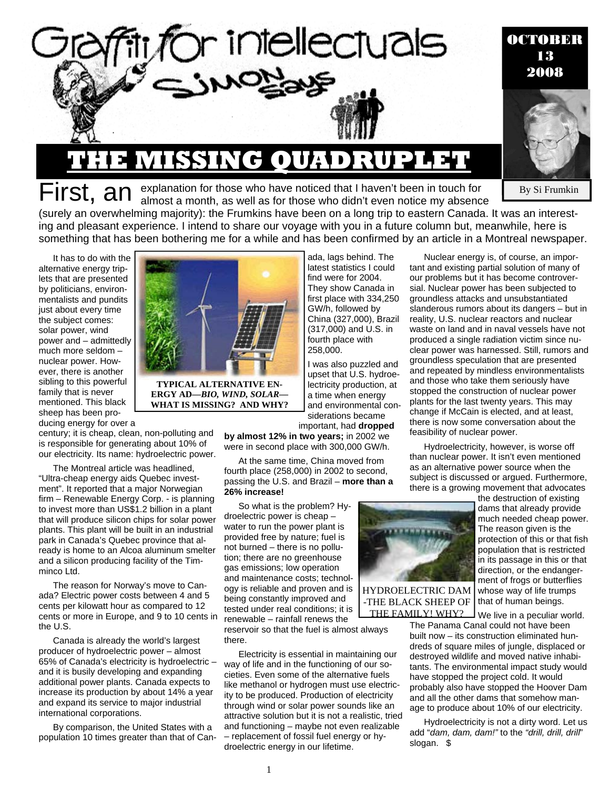

# First, an explanation for those who have noticed that I haven't been in touch for almost a month, as well as for those who didn't even notice my absence

By Si Frumkin

(surely an overwhelming majority): the Frumkins have been on a long trip to eastern Canada. It was an interesting and pleasant experience. I intend to share our voyage with you in a future column but, meanwhile, here is something that has been bothering me for a while and has been confirmed by an article in a Montreal newspaper.

It has to do with the alternative energy triplets that are presented by politicians, environmentalists and pundits just about every time the subject comes: solar power, wind power and – admittedly much more seldom – nuclear power. However, there is another sibling to this powerful family that is never mentioned. This black sheep has been producing energy for over a



**TYPICAL ALTERNATIVE EN-ERGY AD—***BIO, WIND, SOLAR***— WHAT IS MISSING? AND WHY?** 

ada, lags behind. The latest statistics I could find were for 2004. They show Canada in first place with 334,250 GW/h, followed by China (327,000), Brazil (317,000) and U.S. in fourth place with 258,000.

I was also puzzled and upset that U.S. hydroelectricity production, at a time when energy and environmental considerations became important, had **dropped** 

**by almost 12% in two years;** in 2002 we

were in second place with 300,000 GW/h.

At the same time, China moved from fourth place (258,000) in 2002 to second, passing the U.S. and Brazil – **more than a 26% increase!** 

So what is the problem? Hydroelectric power is cheap – water to run the power plant is provided free by nature; fuel is not burned – there is no pollution; there are no greenhouse gas emissions; low operation and maintenance costs; technology is reliable and proven and is being constantly improved and tested under real conditions; it is renewable – rainfall renews the

reservoir so that the fuel is almost always there.

Electricity is essential in maintaining our way of life and in the functioning of our societies. Even some of the alternative fuels like methanol or hydrogen must use electricity to be produced. Production of electricity through wind or solar power sounds like an attractive solution but it is not a realistic, tried and functioning – maybe not even realizable – replacement of fossil fuel energy or hydroelectric energy in our lifetime.



Hydroelectricity, however, is worse off than nuclear power. It isn't even mentioned as an alternative power source when the subject is discussed or argued. Furthermore, there is a growing movement that advocates



HYDROELECTRIC DAM -THE BLACK SHEEP OF THE FAMILY! WHY?

the destruction of existing dams that already provide much needed cheap power. The reason given is the protection of this or that fish population that is restricted in its passage in this or that direction, or the endangerment of frogs or butterflies whose way of life trumps that of human beings.

We live in a peculiar world.

The Panama Canal could not have been built now – its construction eliminated hundreds of square miles of jungle, displaced or destroyed wildlife and moved native inhabitants. The environmental impact study would have stopped the project cold. It would probably also have stopped the Hoover Dam and all the other dams that somehow manage to produce about 10% of our electricity.

Hydroelectricity is not a dirty word. Let us add "*dam, dam, dam!"* to the *"drill, drill, drill*" slogan. \$

century; it is cheap, clean, non-polluting and is responsible for generating about 10% of our electricity. Its name: hydroelectric power.

The Montreal article was headlined, "Ultra-cheap energy aids Quebec investment". It reported that a major Norwegian firm – Renewable Energy Corp. - is planning to invest more than US\$1.2 billion in a plant that will produce silicon chips for solar power plants. This plant will be built in an industrial park in Canada's Quebec province that already is home to an Alcoa aluminum smelter and a silicon producing facility of the Timminco Ltd.

The reason for Norway's move to Canada? Electric power costs between 4 and 5 cents per kilowatt hour as compared to 12 cents or more in Europe, and 9 to 10 cents in the U.S.

Canada is already the world's largest producer of hydroelectric power – almost 65% of Canada's electricity is hydroelectric – and it is busily developing and expanding additional power plants. Canada expects to increase its production by about 14% a year and expand its service to major industrial international corporations.

By comparison, the United States with a population 10 times greater than that of Can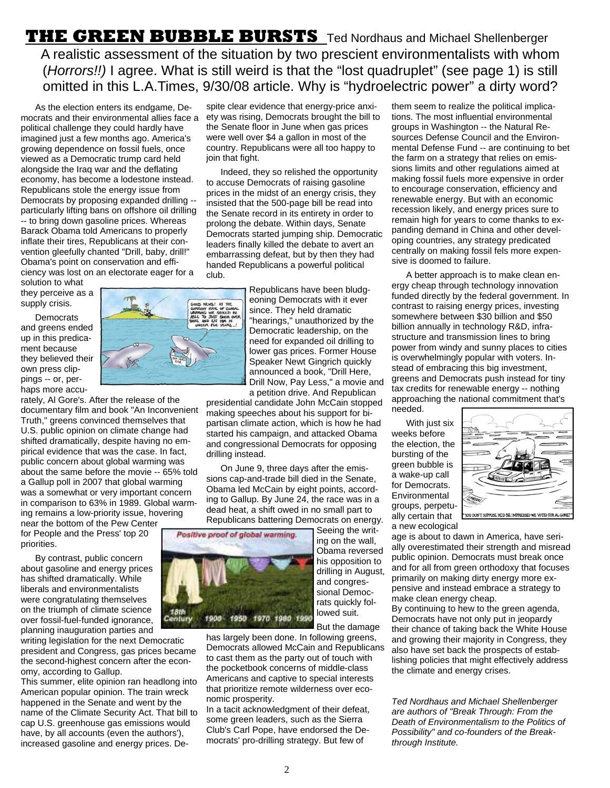**THE GREEN BUBBLE BURSTS** Ted Nordhaus and Michael Shellenberger A realistic assessment of the situation by two prescient environmentalists with whom (*Horrors!!)* I agree. What is still weird is that the "lost quadruplet" (see page 1) is still omitted in this L.A.Times, 9/30/08 article. Why is "hydroelectric power" a dirty word?

As the election enters its endgame, Democrats and their environmental allies face a ety was rising, Democrats brought the bill to political challenge they could hardly have imagined just a few months ago. America's growing dependence on fossil fuels, once viewed as a Democratic trump card held alongside the Iraq war and the deflating economy, has become a lodestone instead. Republicans stole the energy issue from Democrats by proposing expanded drilling - particularly lifting bans on offshore oil drilling -- to bring down gasoline prices. Whereas Barack Obama told Americans to properly inflate their tires, Republicans at their convention gleefully chanted "Drill, baby, drill!" Obama's point on conservation and efficiency was lost on an electorate eager for a

solution to what they perceive as a supply crisis.

**Democrats** and greens ended up in this predicament because they believed their own press clippings -- or, perhaps more accu-



rately, Al Gore's. After the release of the documentary film and book "An Inconvenient Truth," greens convinced themselves that U.S. public opinion on climate change had shifted dramatically, despite having no empirical evidence that was the case. In fact, public concern about global warming was about the same before the movie -- 65% told a Gallup poll in 2007 that global warming was a somewhat or very important concern in comparison to 63% in 1989. Global warming remains a low-priority issue, hovering near the bottom of the Pew Center

for People and the Press' top 20 priorities.

By contrast, public concern about gasoline and energy prices has shifted dramatically. While liberals and environmentalists were congratulating themselves on the triumph of climate science over fossil-fuel-funded ignorance, planning inauguration parties and

writing legislation for the next Democratic president and Congress, gas prices became the second-highest concern after the economy, according to Gallup.

This summer, elite opinion ran headlong into American popular opinion. The train wreck happened in the Senate and went by the name of the Climate Security Act. That bill to cap U.S. greenhouse gas emissions would have, by all accounts (even the authors'), increased gasoline and energy prices. Despite clear evidence that energy-price anxithe Senate floor in June when gas prices were well over \$4 a gallon in most of the country. Republicans were all too happy to join that fight.

Indeed, they so relished the opportunity to accuse Democrats of raising gasoline prices in the midst of an energy crisis, they insisted that the 500-page bill be read into the Senate record in its entirety in order to prolong the debate. Within days, Senate Democrats started jumping ship. Democratic leaders finally killed the debate to avert an embarrassing defeat, but by then they had handed Republicans a powerful political club.

> Republicans have been bludgeoning Democrats with it ever since. They held dramatic "hearings," unauthorized by the Democratic leadership, on the need for expanded oil drilling to lower gas prices. Former House Speaker Newt Gingrich quickly announced a book, "Drill Here, Drill Now, Pay Less," a movie and a petition drive. And Republican

presidential candidate John McCain stopped making speeches about his support for bipartisan climate action, which is how he had started his campaign, and attacked Obama and congressional Democrats for opposing drilling instead.

On June 9, three days after the emissions cap-and-trade bill died in the Senate, Obama led McCain by eight points, according to Gallup. By June 24, the race was in a dead heat, a shift owed in no small part to Republicans battering Democrats on energy.

> Seeing the writing on the wall, Obama reversed his opposition to drilling in August, and congressional Democrats quickly followed suit.



But the damage has largely been done. In following greens, Democrats allowed McCain and Republicans to cast them as the party out of touch with the pocketbook concerns of middle-class Americans and captive to special interests that prioritize remote wilderness over economic prosperity.

In a tacit acknowledgment of their defeat, some green leaders, such as the Sierra Club's Carl Pope, have endorsed the Democrats' pro-drilling strategy. But few of

them seem to realize the political implications. The most influential environmental groups in Washington -- the Natural Resources Defense Council and the Environmental Defense Fund -- are continuing to bet the farm on a strategy that relies on emissions limits and other regulations aimed at making fossil fuels more expensive in order to encourage conservation, efficiency and renewable energy. But with an economic recession likely, and energy prices sure to remain high for years to come thanks to expanding demand in China and other developing countries, any strategy predicated centrally on making fossil fels more expensive is doomed to failure.

A better approach is to make clean energy cheap through technology innovation funded directly by the federal government. In contrast to raising energy prices, investing somewhere between \$30 billion and \$50 billion annually in technology R&D, infrastructure and transmission lines to bring power from windy and sunny places to cities is overwhelmingly popular with voters. Instead of embracing this big investment, greens and Democrats push instead for tiny tax credits for renewable energy -- nothing approaching the national commitment that's needed.

With just six weeks before the election, the bursting of the green bubble is a wake-up call for Democrats. Environmental groups, perpetually certain that a new ecological



age is about to dawn in America, have serially overestimated their strength and misread public opinion. Democrats must break once and for all from green orthodoxy that focuses primarily on making dirty energy more expensive and instead embrace a strategy to make clean energy cheap.

By continuing to hew to the green agenda, Democrats have not only put in jeopardy their chance of taking back the White House and growing their majority in Congress, they also have set back the prospects of establishing policies that might effectively address the climate and energy crises.

*Ted Nordhaus and Michael Shellenberger are authors of "Break Through: From the Death of Environmentalism to the Politics of Possibility" and co-founders of the Breakthrough Institute.*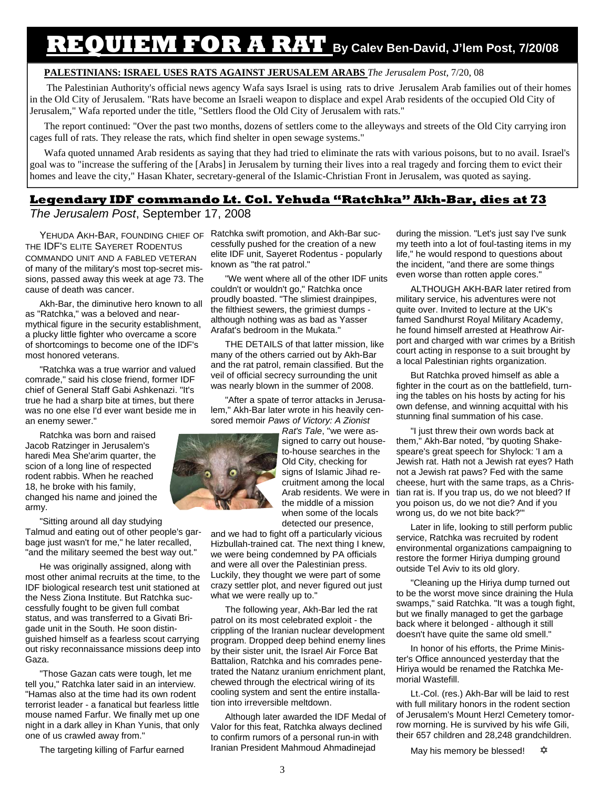## **REQUIEM FOR A RAT By Calev Ben-David, J'lem Post, 7/20/08**

#### **PALESTINIANS: ISRAEL USES RATS AGAINST JERUSALEM ARABS** *The Jerusalem Post*, 7/20, 08

 The Palestinian Authority's official news agency Wafa says Israel is using rats to drive Jerusalem Arab families out of their homes in the Old City of Jerusalem. "Rats have become an Israeli weapon to displace and expel Arab residents of the occupied Old City of Jerusalem," Wafa reported under the title, "Settlers flood the Old City of Jerusalem with rats."

The report continued: "Over the past two months, dozens of settlers come to the alleyways and streets of the Old City carrying iron cages full of rats. They release the rats, which find shelter in open sewage systems."

Wafa quoted unnamed Arab residents as saying that they had tried to eliminate the rats with various poisons, but to no avail. Israel's goal was to "increase the suffering of the [Arabs] in Jerusalem by turning their lives into a real tragedy and forcing them to evict their homes and leave the city," Hasan Khater, secretary-general of the Islamic-Christian Front in Jerusalem, was quoted as saying.

#### **Legendary IDF commando Lt. Col. Yehuda "Ratchka" Akh-Bar, dies at 73**

*The Jerusalem Post*, September 17, 2008

THE IDF'S ELITE SAYERET RODENTUS COMMANDO UNIT AND A FABLED VETERAN of many of the military's most top-secret missions, passed away this week at age 73. The cause of death was cancer.

Akh-Bar, the diminutive hero known to all as "Ratchka," was a beloved and nearmythical figure in the security establishment, a plucky little fighter who overcame a score of shortcomings to become one of the IDF's most honored veterans.

"Ratchka was a true warrior and valued comrade," said his close friend, former IDF chief of General Staff Gabi Ashkenazi. "It's true he had a sharp bite at times, but there was no one else I'd ever want beside me in an enemy sewer."

Ratchka was born and raised Jacob Ratzinger in Jerusalem's haredi Mea She'arim quarter, the scion of a long line of respected rodent rabbis. When he reached 18, he broke with his family, changed his name and joined the army.

"Sitting around all day studying Talmud and eating out of other people's garbage just wasn't for me," he later recalled, "and the military seemed the best way out."

He was originally assigned, along with most other animal recruits at the time, to the IDF biological research test unit stationed at the Ness Ziona Institute. But Ratchka successfully fought to be given full combat status, and was transferred to a Givati Brigade unit in the South. He soon distinguished himself as a fearless scout carrying out risky reconnaissance missions deep into Gaza.

"Those Gazan cats were tough, let me tell you," Ratchka later said in an interview. "Hamas also at the time had its own rodent terrorist leader - a fanatical but fearless little mouse named Farfur. We finally met up one night in a dark alley in Khan Yunis, that only one of us crawled away from."

The targeting killing of Farfur earned

YEHUDA AKH-BAR, FOUNDING CHIEF OF Ratchka swift promotion, and Akh-Bar successfully pushed for the creation of a new elite IDF unit, Sayeret Rodentus - popularly known as "the rat patrol."

> "We went where all of the other IDF units couldn't or wouldn't go," Ratchka once proudly boasted. "The slimiest drainpipes, the filthiest sewers, the grimiest dumps although nothing was as bad as Yasser Arafat's bedroom in the Mukata."

THE DETAILS of that latter mission, like many of the others carried out by Akh-Bar and the rat patrol, remain classified. But the veil of official secrecy surrounding the unit was nearly blown in the summer of 2008.

"After a spate of terror attacks in Jerusalem," Akh-Bar later wrote in his heavily censored memoir *Paws of Victory: A Zionist* 

> *Rat's Tale*, "we were assigned to carry out houseto-house searches in the Old City, checking for signs of Islamic Jihad recruitment among the local Arab residents. We were in the middle of a mission when some of the locals detected our presence,

and we had to fight off a particularly vicious Hizbullah-trained cat. The next thing I knew, we were being condemned by PA officials and were all over the Palestinian press. Luckily, they thought we were part of some crazy settler plot, and never figured out just what we were really up to."

The following year, Akh-Bar led the rat patrol on its most celebrated exploit - the crippling of the Iranian nuclear development program. Dropped deep behind enemy lines by their sister unit, the Israel Air Force Bat Battalion, Ratchka and his comrades penetrated the Natanz uranium enrichment plant, chewed through the electrical wiring of its cooling system and sent the entire installation into irreversible meltdown.

Although later awarded the IDF Medal of Valor for this feat, Ratchka always declined to confirm rumors of a personal run-in with Iranian President Mahmoud Ahmadinejad

during the mission. "Let's just say I've sunk my teeth into a lot of foul-tasting items in my life," he would respond to questions about the incident, "and there are some things even worse than rotten apple cores."

ALTHOUGH AKH-BAR later retired from military service, his adventures were not quite over. Invited to lecture at the UK's famed Sandhurst Royal Military Academy, he found himself arrested at Heathrow Airport and charged with war crimes by a British court acting in response to a suit brought by a local Palestinian rights organization.

But Ratchka proved himself as able a fighter in the court as on the battlefield, turning the tables on his hosts by acting for his own defense, and winning acquittal with his stunning final summation of his case.

"I just threw their own words back at them," Akh-Bar noted, "by quoting Shakespeare's great speech for Shylock: 'I am a Jewish rat. Hath not a Jewish rat eyes? Hath not a Jewish rat paws? Fed with the same cheese, hurt with the same traps, as a Christian rat is. If you trap us, do we not bleed? If you poison us, do we not die? And if you wrong us, do we not bite back?'"

Later in life, looking to still perform public service, Ratchka was recruited by rodent environmental organizations campaigning to restore the former Hiriya dumping ground outside Tel Aviv to its old glory.

"Cleaning up the Hiriya dump turned out to be the worst move since draining the Hula swamps," said Ratchka. "It was a tough fight, but we finally managed to get the garbage back where it belonged - although it still doesn't have quite the same old smell."

In honor of his efforts, the Prime Minister's Office announced yesterday that the Hiriya would be renamed the Ratchka Memorial Wastefill.

Lt.-Col. (res.) Akh-Bar will be laid to rest with full military honors in the rodent section of Jerusalem's Mount Herzl Cemetery tomorrow morning. He is survived by his wife Gili, their 657 children and 28,248 grandchildren.

May his memory be blessed!  $\hat{\mathbf{\times}}$